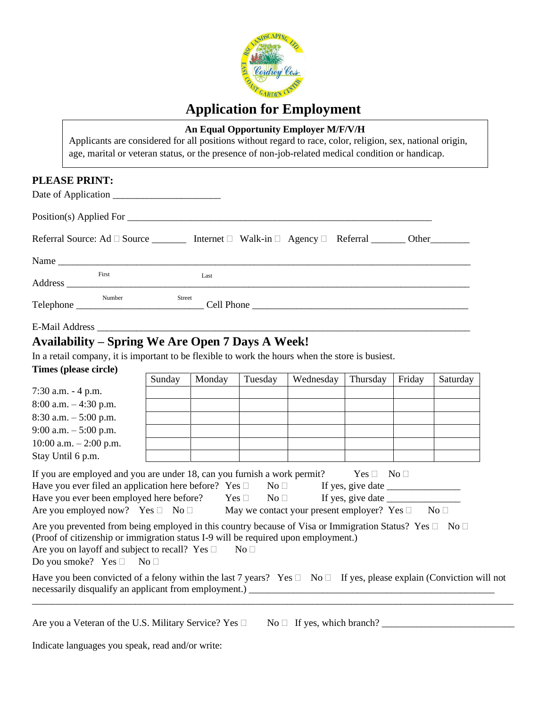

# **Application for Employment**

## **An Equal Opportunity Employer M/F/V/H**

Applicants are considered for all positions without regard to race, color, religion, sex, national origin, age, marital or veteran status, or the presence of non-job-related medical condition or handicap.

## **PLEASE PRINT:**

|        | Referral Source: Ad $\Box$ Source ___________ Internet $\Box$ Walk-in $\Box$ Agency $\Box$ Referral ________ Other __________ |  |
|--------|-------------------------------------------------------------------------------------------------------------------------------|--|
|        |                                                                                                                               |  |
| First  | Last                                                                                                                          |  |
| Number | Street<br>Cell Phone                                                                                                          |  |

## E-Mail Address

## **Availability – Spring We Are Open 7 Days A Week!**

In a retail company, it is important to be flexible to work the hours when the store is busiest.

## **Times (please circle)**

|                          | Sunday | Monday | Tuesday | Wednesday | Thursday | Friday | Saturday |
|--------------------------|--------|--------|---------|-----------|----------|--------|----------|
| $7:30$ a.m. $-4$ p.m.    |        |        |         |           |          |        |          |
| $8:00$ a.m. $-4:30$ p.m. |        |        |         |           |          |        |          |
| $8:30$ a.m. $-5:00$ p.m. |        |        |         |           |          |        |          |
| 9:00 a.m. $-$ 5:00 p.m.  |        |        |         |           |          |        |          |
| 10:00 a.m. $-2:00$ p.m.  |        |        |         |           |          |        |          |
| Stay Until 6 p.m.        |        |        |         |           |          |        |          |
|                          |        |        |         |           |          |        |          |

| If you are employed and you are under 18, can you furnish a work permit? |            |               | $Yes \Box No \Box$ |  |
|--------------------------------------------------------------------------|------------|---------------|--------------------|--|
| Have you ever filed an application here before? Yes $\Box$               |            | $N_O$ $\perp$ | If yes, give date  |  |
| Have you ever been employed here before?                                 | $Yes \Box$ | $N_O$         | If yes, give date  |  |

| Are you employed now? Yes $\square$ No $\square$ |  | May we contact your present employer? Yes $\square$ No $\square$ |  |
|--------------------------------------------------|--|------------------------------------------------------------------|--|
|--------------------------------------------------|--|------------------------------------------------------------------|--|

|                                                                                    | Are you prevented from being employed in this country because of Visa or Immigration Status? Yes $\Box$ No $\Box$ |  |
|------------------------------------------------------------------------------------|-------------------------------------------------------------------------------------------------------------------|--|
| (Proof of citizenship or immigration status I-9 will be required upon employment.) |                                                                                                                   |  |
| Are you on layoff and subject to recall? Yes $\Box$                                | No L                                                                                                              |  |

Do you smoke? Yes  $\Box$  No  $\Box$ 

| Have you been convicted of a felony within the last 7 years? Yes $\Box$ No $\Box$ If yes, please explain (Conviction will not |  |  |
|-------------------------------------------------------------------------------------------------------------------------------|--|--|
| necessarily disqualify an applicant from employment.)                                                                         |  |  |

\_\_\_\_\_\_\_\_\_\_\_\_\_\_\_\_\_\_\_\_\_\_\_\_\_\_\_\_\_\_\_\_\_\_\_\_\_\_\_\_\_\_\_\_\_\_\_\_\_\_\_\_\_\_\_\_\_\_\_\_\_\_\_\_\_\_\_\_\_\_\_\_\_\_\_\_\_\_\_\_\_\_\_\_\_\_\_\_\_\_\_\_\_\_\_\_\_\_

| Are you a Veteran of the U.S. Military Service? Yes $\Box$ No $\Box$ If yes, which branch? |  |
|--------------------------------------------------------------------------------------------|--|
|--------------------------------------------------------------------------------------------|--|

Indicate languages you speak, read and/or write: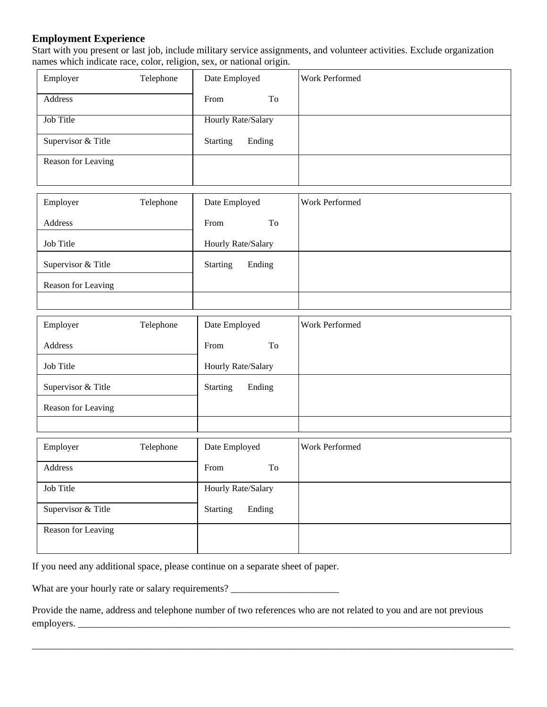#### **Employment Experience**

Start with you present or last job, include military service assignments, and volunteer activities. Exclude organization names which indicate race, color, religion, sex, or national origin.

| Employer           | Telephone | Date Employed               | Work Performed |
|--------------------|-----------|-----------------------------|----------------|
| Address            |           | From<br>To                  |                |
| Job Title          |           | <b>Hourly Rate/Salary</b>   |                |
| Supervisor & Title |           | <b>Starting</b><br>Ending   |                |
| Reason for Leaving |           |                             |                |
|                    |           |                             |                |
| Employer           | Telephone | Date Employed               | Work Performed |
| Address            |           | To<br>From                  |                |
| Job Title          |           | Hourly Rate/Salary          |                |
| Supervisor & Title |           | <b>Starting</b><br>Ending   |                |
| Reason for Leaving |           |                             |                |
|                    |           |                             |                |
| Employer           | Telephone | Date Employed               | Work Performed |
| Address            |           | From<br>To                  |                |
| Job Title          |           | Hourly Rate/Salary          |                |
| Supervisor & Title |           | Ending<br><b>Starting</b>   |                |
| Reason for Leaving |           |                             |                |
|                    |           |                             |                |
| Employer           | Telephone | Date Employed               | Work Performed |
| Address            |           | $\operatorname{To}$<br>From |                |
| Job Title          |           | Hourly Rate/Salary          |                |
| Supervisor & Title |           | <b>Starting</b><br>Ending   |                |
| Reason for Leaving |           |                             |                |
|                    |           |                             |                |

If you need any additional space, please continue on a separate sheet of paper.

What are your hourly rate or salary requirements? \_\_\_\_\_\_\_\_\_\_\_\_\_\_\_\_\_\_\_\_\_\_\_\_\_\_\_\_\_\_

Provide the name, address and telephone number of two references who are not related to you and are not previous employers. \_\_\_\_\_\_\_\_\_\_\_\_\_\_\_\_\_\_\_\_\_\_\_\_\_\_\_\_\_\_\_\_\_\_\_\_\_\_\_\_\_\_\_\_\_\_\_\_\_\_\_\_\_\_\_\_\_\_\_\_\_\_\_\_\_\_\_\_\_\_\_\_\_\_\_\_\_\_\_\_\_\_\_\_\_\_\_\_

\_\_\_\_\_\_\_\_\_\_\_\_\_\_\_\_\_\_\_\_\_\_\_\_\_\_\_\_\_\_\_\_\_\_\_\_\_\_\_\_\_\_\_\_\_\_\_\_\_\_\_\_\_\_\_\_\_\_\_\_\_\_\_\_\_\_\_\_\_\_\_\_\_\_\_\_\_\_\_\_\_\_\_\_\_\_\_\_\_\_\_\_\_\_\_\_\_\_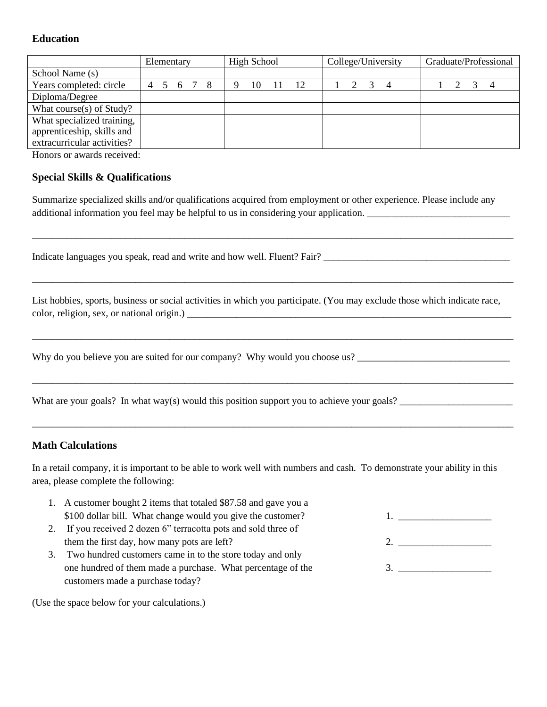## **Education**

|                             | Elementary |       |  | High School |  |    | College/University |    |  | Graduate/Professional |  |                |  |  |  |  |
|-----------------------------|------------|-------|--|-------------|--|----|--------------------|----|--|-----------------------|--|----------------|--|--|--|--|
| School Name (s)             |            |       |  |             |  |    |                    |    |  |                       |  |                |  |  |  |  |
| Years completed: circle     | 4          | 5 6 7 |  | -8          |  | 10 |                    | 12 |  |                       |  | $\overline{4}$ |  |  |  |  |
| Diploma/Degree              |            |       |  |             |  |    |                    |    |  |                       |  |                |  |  |  |  |
| What course(s) of Study?    |            |       |  |             |  |    |                    |    |  |                       |  |                |  |  |  |  |
| What specialized training,  |            |       |  |             |  |    |                    |    |  |                       |  |                |  |  |  |  |
| apprenticeship, skills and  |            |       |  |             |  |    |                    |    |  |                       |  |                |  |  |  |  |
| extracurricular activities? |            |       |  |             |  |    |                    |    |  |                       |  |                |  |  |  |  |

Honors or awards received:

#### **Special Skills & Qualifications**

Summarize specialized skills and/or qualifications acquired from employment or other experience. Please include any additional information you feel may be helpful to us in considering your application.

\_\_\_\_\_\_\_\_\_\_\_\_\_\_\_\_\_\_\_\_\_\_\_\_\_\_\_\_\_\_\_\_\_\_\_\_\_\_\_\_\_\_\_\_\_\_\_\_\_\_\_\_\_\_\_\_\_\_\_\_\_\_\_\_\_\_\_\_\_\_\_\_\_\_\_\_\_\_\_\_\_\_\_\_\_\_\_\_\_\_\_\_\_\_\_\_\_\_

\_\_\_\_\_\_\_\_\_\_\_\_\_\_\_\_\_\_\_\_\_\_\_\_\_\_\_\_\_\_\_\_\_\_\_\_\_\_\_\_\_\_\_\_\_\_\_\_\_\_\_\_\_\_\_\_\_\_\_\_\_\_\_\_\_\_\_\_\_\_\_\_\_\_\_\_\_\_\_\_\_\_\_\_\_\_\_\_\_\_\_\_\_\_\_\_\_\_

\_\_\_\_\_\_\_\_\_\_\_\_\_\_\_\_\_\_\_\_\_\_\_\_\_\_\_\_\_\_\_\_\_\_\_\_\_\_\_\_\_\_\_\_\_\_\_\_\_\_\_\_\_\_\_\_\_\_\_\_\_\_\_\_\_\_\_\_\_\_\_\_\_\_\_\_\_\_\_\_\_\_\_\_\_\_\_\_\_\_\_\_\_\_\_\_\_\_

\_\_\_\_\_\_\_\_\_\_\_\_\_\_\_\_\_\_\_\_\_\_\_\_\_\_\_\_\_\_\_\_\_\_\_\_\_\_\_\_\_\_\_\_\_\_\_\_\_\_\_\_\_\_\_\_\_\_\_\_\_\_\_\_\_\_\_\_\_\_\_\_\_\_\_\_\_\_\_\_\_\_\_\_\_\_\_\_\_\_\_\_\_\_\_\_\_\_

\_\_\_\_\_\_\_\_\_\_\_\_\_\_\_\_\_\_\_\_\_\_\_\_\_\_\_\_\_\_\_\_\_\_\_\_\_\_\_\_\_\_\_\_\_\_\_\_\_\_\_\_\_\_\_\_\_\_\_\_\_\_\_\_\_\_\_\_\_\_\_\_\_\_\_\_\_\_\_\_\_\_\_\_\_\_\_\_\_\_\_\_\_\_\_\_\_\_

Indicate languages you speak, read and write and how well. Fluent? Fair? \_\_\_\_\_\_\_\_

List hobbies, sports, business or social activities in which you participate. (You may exclude those which indicate race, color, religion, sex, or national origin.) \_\_\_\_\_\_\_\_\_\_\_\_\_\_\_\_\_\_\_\_\_\_\_\_\_\_\_\_\_\_\_\_\_\_\_\_\_\_\_\_\_\_\_\_\_\_\_\_\_\_\_\_\_\_\_\_\_\_\_\_\_\_\_\_\_\_

Why do you believe you are suited for our company? Why would you choose us?

What are your goals? In what way(s) would this position support you to achieve your goals? \_\_\_\_\_\_\_\_\_\_\_\_\_\_\_\_\_\_\_\_\_\_\_

#### **Math Calculations**

In a retail company, it is important to be able to work well with numbers and cash. To demonstrate your ability in this area, please complete the following:

- 1. A customer bought 2 items that totaled \$87.58 and gave you a \$100 dollar bill. What change would you give the customer? 1.
- 2. If you received 2 dozen 6" terracotta pots and sold three of them the first day, how many pots are left? 2.
- 3. Two hundred customers came in to the store today and only one hundred of them made a purchase. What percentage of the 3. customers made a purchase today?

(Use the space below for your calculations.)